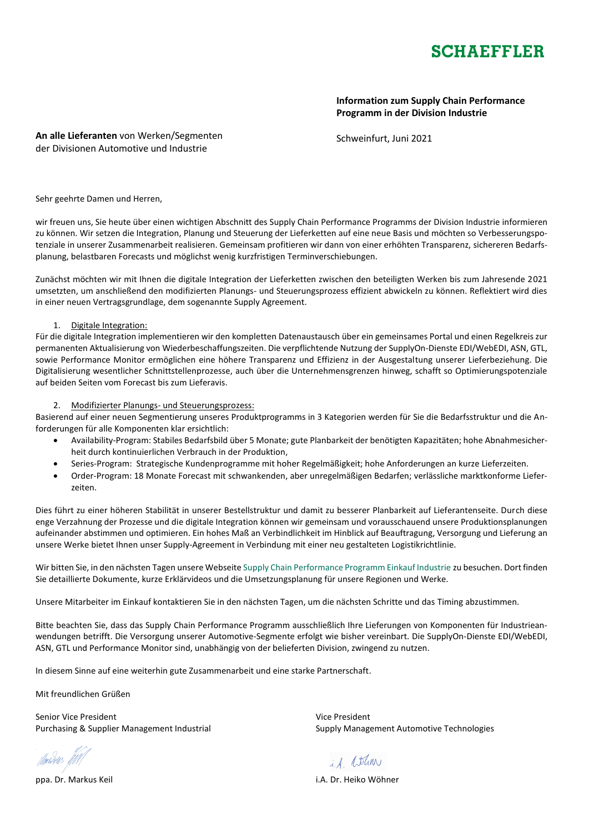

**Information zum Supply Chain Performance Programm in der Division Industrie**

**An alle Lieferanten** von Werken/Segmenten der Divisionen Automotive und Industrie

Schweinfurt, Juni 2021

Sehr geehrte Damen und Herren,

wir freuen uns, Sie heute über einen wichtigen Abschnitt des Supply Chain Performance Programms der Division Industrie informieren zu können. Wir setzen die Integration, Planung und Steuerung der Lieferketten auf eine neue Basis und möchten so Verbesserungspotenziale in unserer Zusammenarbeit realisieren. Gemeinsam profitieren wir dann von einer erhöhten Transparenz, sichereren Bedarfsplanung, belastbaren Forecasts und möglichst wenig kurzfristigen Terminverschiebungen.

Zunächst möchten wir mit Ihnen die digitale Integration der Lieferketten zwischen den beteiligten Werken bis zum Jahresende 2021 umsetzten, um anschließend den modifizierten Planungs- und Steuerungsprozess effizient abwickeln zu können. Reflektiert wird dies in einer neuen Vertragsgrundlage, dem sogenannte Supply Agreement.

## 1. Digitale Integration:

Für die digitale Integration implementieren wir den kompletten Datenaustausch über ein gemeinsames Portal und einen Regelkreis zur permanenten Aktualisierung von Wiederbeschaffungszeiten. Die verpflichtende Nutzung der SupplyOn-Dienste EDI/WebEDI, ASN, GTL, sowie Performance Monitor ermöglichen eine höhere Transparenz und Effizienz in der Ausgestaltung unserer Lieferbeziehung. Die Digitalisierung wesentlicher Schnittstellenprozesse, auch über die Unternehmensgrenzen hinweg, schafft so Optimierungspotenziale auf beiden Seiten vom Forecast bis zum Lieferavis.

## 2. Modifizierter Planungs- und Steuerungsprozess:

Basierend auf einer neuen Segmentierung unseres Produktprogramms in 3 Kategorien werden für Sie die Bedarfsstruktur und die Anforderungen für alle Komponenten klar ersichtlich:

- Availability-Program: Stabiles Bedarfsbild über 5 Monate; gute Planbarkeit der benötigten Kapazitäten; hohe Abnahmesicherheit durch kontinuierlichen Verbrauch in der Produktion,
- Series-Program: Strategische Kundenprogramme mit hoher Regelmäßigkeit; hohe Anforderungen an kurze Lieferzeiten.
- Order-Program: 18 Monate Forecast mit schwankenden, aber unregelmäßigen Bedarfen; verlässliche marktkonforme Lieferzeiten.

Dies führt zu einer höheren Stabilität in unserer Bestellstruktur und damit zu besserer Planbarkeit auf Lieferantenseite. Durch diese enge Verzahnung der Prozesse und die digitale Integration können wir gemeinsam und vorausschauend unsere Produktionsplanungen aufeinander abstimmen und optimieren. Ein hohes Maß an Verbindlichkeit im Hinblick auf Beauftragung, Versorgung und Lieferung an unsere Werke bietet Ihnen unser Supply-Agreement in Verbindung mit einer neu gestalteten Logistikrichtlinie.

Wir bitten Sie, in den nächsten Tagen unsere Webseite [Supply Chain Performance Programm Einkauf Industrie](https://www.schaeffler.de/content.schaeffler.de/de/schaeffler-deutschland/einkauf-und-lieferantenmanagement/logistik/supply-chain-performance-programm-einkauf-industrial/index.jsp) zu besuchen. Dort finden Sie detaillierte Dokumente, kurze Erklärvideos und die Umsetzungsplanung für unsere Regionen und Werke.

Unsere Mitarbeiter im Einkauf kontaktieren Sie in den nächsten Tagen, um die nächsten Schritte und das Timing abzustimmen.

Bitte beachten Sie, dass das Supply Chain Performance Programm ausschließlich Ihre Lieferungen von Komponenten für Industrieanwendungen betrifft. Die Versorgung unserer Automotive-Segmente erfolgt wie bisher vereinbart. Die SupplyOn-Dienste EDI/WebEDI, ASN, GTL und Performance Monitor sind, unabhängig von der belieferten Division, zwingend zu nutzen.

In diesem Sinne auf eine weiterhin gute Zusammenarbeit und eine starke Partnerschaft.

Mit freundlichen Grüßen

Senior Vice President Vice President Purchasing & Supplier Management Industrial Supply Management Automotive Technologies

ppa. Dr. Markus Keil i.A. Dr. Heiko Wöhner

i.A. atlan